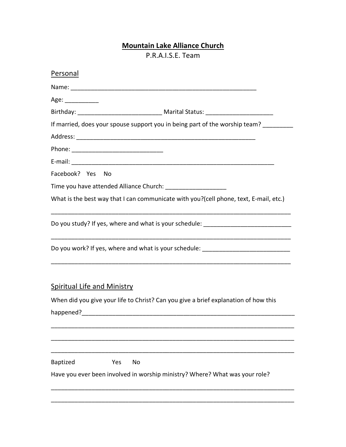## **Mountain Lake Alliance Church**

P.R.A.I.S.E. Team

| Personal                                                                                                                  |
|---------------------------------------------------------------------------------------------------------------------------|
|                                                                                                                           |
| Age: ____________                                                                                                         |
|                                                                                                                           |
| If married, does your spouse support you in being part of the worship team?                                               |
|                                                                                                                           |
|                                                                                                                           |
|                                                                                                                           |
| Facebook? Yes No                                                                                                          |
| Time you have attended Alliance Church: ______________________                                                            |
| What is the best way that I can communicate with you?(cell phone, text, E-mail, etc.)                                     |
| Do you study? If yes, where and what is your schedule: _________________________                                          |
| Do you work? If yes, where and what is your schedule: __________________________                                          |
| <b>Spiritual Life and Ministry</b><br>When did you give your life to Christ? Can you give a brief explanation of how this |
| <b>Baptized</b><br>Yes<br>No<br>Have you ever been involved in worship ministry? Where? What was your role?               |
|                                                                                                                           |